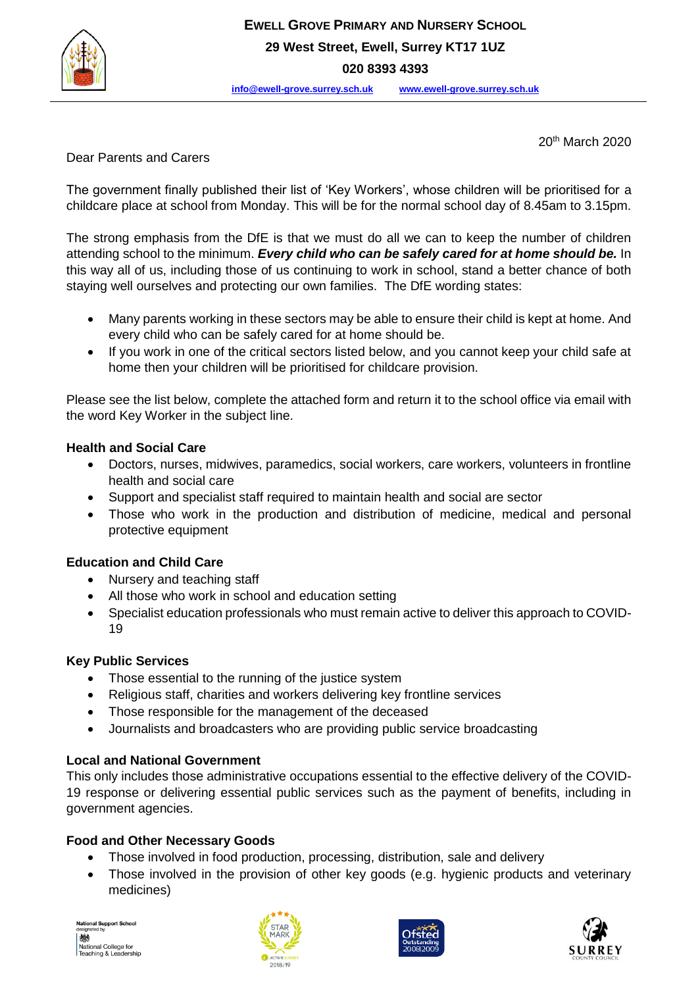

20th March 2020

Dear Parents and Carers

The government finally published their list of 'Key Workers', whose children will be prioritised for a childcare place at school from Monday. This will be for the normal school day of 8.45am to 3.15pm.

The strong emphasis from the DfE is that we must do all we can to keep the number of children attending school to the minimum. *Every child who can be safely cared for at home should be.* In this way all of us, including those of us continuing to work in school, stand a better chance of both staying well ourselves and protecting our own families. The DfE wording states:

- Many parents working in these sectors may be able to ensure their child is kept at home. And every child who can be safely cared for at home should be.
- If you work in one of the critical sectors listed below, and you cannot keep your child safe at home then your children will be prioritised for childcare provision.

Please see the list below, complete the attached form and return it to the school office via email with the word Key Worker in the subject line.

## **Health and Social Care**

- Doctors, nurses, midwives, paramedics, social workers, care workers, volunteers in frontline health and social care
- Support and specialist staff required to maintain health and social are sector
- Those who work in the production and distribution of medicine, medical and personal protective equipment

# **Education and Child Care**

- Nursery and teaching staff
- All those who work in school and education setting
- Specialist education professionals who must remain active to deliver this approach to COVID-19

# **Key Public Services**

- Those essential to the running of the justice system
- Religious staff, charities and workers delivering key frontline services
- Those responsible for the management of the deceased
- Journalists and broadcasters who are providing public service broadcasting

# **Local and National Government**

This only includes those administrative occupations essential to the effective delivery of the COVID-19 response or delivering essential public services such as the payment of benefits, including in government agencies.

#### **Food and Other Necessary Goods**

- Those involved in food production, processing, distribution, sale and delivery
- Those involved in the provision of other key goods (e.g. hygienic products and veterinary medicines)